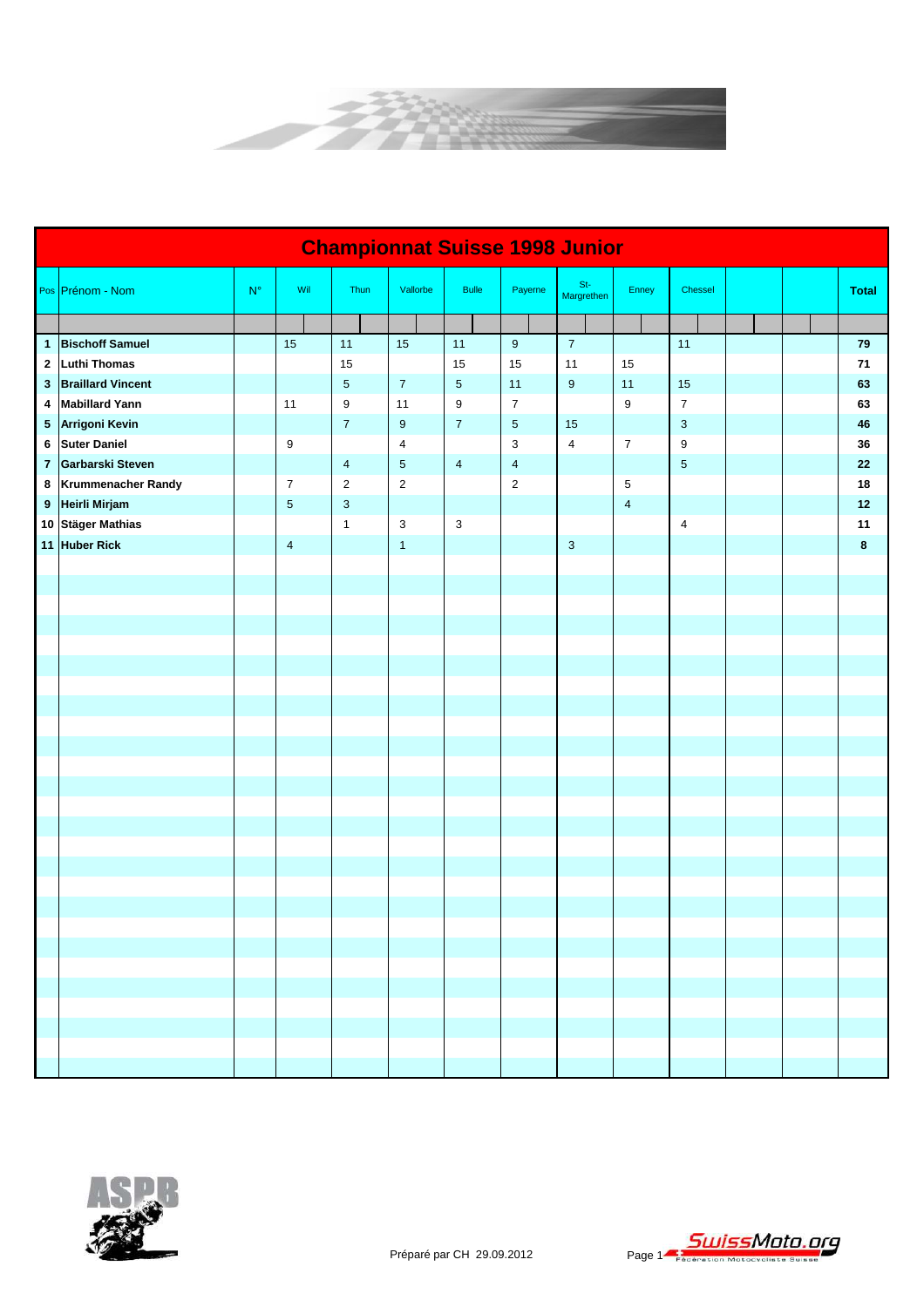

|                | <b>Championnat Suisse 1998 Junior</b> |             |                         |                           |                  |                  |                |                         |                         |                         |  |  |              |
|----------------|---------------------------------------|-------------|-------------------------|---------------------------|------------------|------------------|----------------|-------------------------|-------------------------|-------------------------|--|--|--------------|
|                | Pos Prénom - Nom                      | $N^{\circ}$ | Wil                     | Thun                      | Vallorbe         | <b>Bulle</b>     | Payerne        | $St-$<br>Margrethen     | Enney                   | Chessel                 |  |  | <b>Total</b> |
|                |                                       |             |                         |                           |                  |                  |                |                         |                         |                         |  |  |              |
|                | 1 Bischoff Samuel                     |             | 15                      | 11                        | 15               | 11               | $9\,$          | $\overline{7}$          |                         | 11                      |  |  | 79           |
| $\mathbf{2}$   | <b>Luthi Thomas</b>                   |             |                         | 15                        |                  | 15               | 15             | 11                      | 15                      |                         |  |  | 71           |
| $\mathbf{3}$   | <b>Braillard Vincent</b>              |             |                         | $\mathbf 5$               | $\boldsymbol{7}$ | $\sqrt{5}$       | 11             | $\boldsymbol{9}$        | 11                      | 15                      |  |  | 63           |
| 4              | <b>Mabillard Yann</b>                 |             | 11                      | $\boldsymbol{9}$          | 11               | $\boldsymbol{9}$ | $\overline{7}$ |                         | 9                       | $\overline{\mathbf{7}}$ |  |  | 63           |
|                | 5 Arrigoni Kevin                      |             |                         | $\overline{7}$            | 9                | $\overline{7}$   | $\overline{5}$ | 15                      |                         | 3                       |  |  | 46           |
|                | 6 Suter Daniel                        |             | 9                       |                           | 4                |                  | 3              | $\overline{\mathbf{4}}$ | $\overline{7}$          | 9                       |  |  | 36           |
| $\overline{7}$ | Garbarski Steven                      |             |                         | $\overline{\mathbf{4}}$   | $\sqrt{5}$       | $\overline{4}$   | $\overline{4}$ |                         |                         | $\sqrt{5}$              |  |  | 22           |
|                | 8 Krummenacher Randy                  |             | $\boldsymbol{7}$        | $\overline{c}$            | $\overline{c}$   |                  | $\overline{2}$ |                         | $\,$ 5 $\,$             |                         |  |  | 18           |
|                | 9 Heirli Mirjam                       |             | $\sqrt{5}$              | $\ensuremath{\mathsf{3}}$ |                  |                  |                |                         | $\overline{\mathbf{4}}$ |                         |  |  | 12           |
|                | 10 Stäger Mathias                     |             |                         | $\mathbf{1}$              | $\sqrt{3}$       | $\mathbf{3}$     |                |                         |                         | 4                       |  |  | 11           |
|                | 11 Huber Rick                         |             | $\overline{\mathbf{4}}$ |                           | $\mathbf{1}$     |                  |                | $\mathbf{3}$            |                         |                         |  |  | 8            |
|                |                                       |             |                         |                           |                  |                  |                |                         |                         |                         |  |  |              |
|                |                                       |             |                         |                           |                  |                  |                |                         |                         |                         |  |  |              |
|                |                                       |             |                         |                           |                  |                  |                |                         |                         |                         |  |  |              |
|                |                                       |             |                         |                           |                  |                  |                |                         |                         |                         |  |  |              |
|                |                                       |             |                         |                           |                  |                  |                |                         |                         |                         |  |  |              |
|                |                                       |             |                         |                           |                  |                  |                |                         |                         |                         |  |  |              |
|                |                                       |             |                         |                           |                  |                  |                |                         |                         |                         |  |  |              |
|                |                                       |             |                         |                           |                  |                  |                |                         |                         |                         |  |  |              |
|                |                                       |             |                         |                           |                  |                  |                |                         |                         |                         |  |  |              |
|                |                                       |             |                         |                           |                  |                  |                |                         |                         |                         |  |  |              |
|                |                                       |             |                         |                           |                  |                  |                |                         |                         |                         |  |  |              |
|                |                                       |             |                         |                           |                  |                  |                |                         |                         |                         |  |  |              |
|                |                                       |             |                         |                           |                  |                  |                |                         |                         |                         |  |  |              |
|                |                                       |             |                         |                           |                  |                  |                |                         |                         |                         |  |  |              |
|                |                                       |             |                         |                           |                  |                  |                |                         |                         |                         |  |  |              |
|                |                                       |             |                         |                           |                  |                  |                |                         |                         |                         |  |  |              |
|                |                                       |             |                         |                           |                  |                  |                |                         |                         |                         |  |  |              |
|                |                                       |             |                         |                           |                  |                  |                |                         |                         |                         |  |  |              |
|                |                                       |             |                         |                           |                  |                  |                |                         |                         |                         |  |  |              |
|                |                                       |             |                         |                           |                  |                  |                |                         |                         |                         |  |  |              |
|                |                                       |             |                         |                           |                  |                  |                |                         |                         |                         |  |  |              |
|                |                                       |             |                         |                           |                  |                  |                |                         |                         |                         |  |  |              |
|                |                                       |             |                         |                           |                  |                  |                |                         |                         |                         |  |  |              |
|                |                                       |             |                         |                           |                  |                  |                |                         |                         |                         |  |  |              |
|                |                                       |             |                         |                           |                  |                  |                |                         |                         |                         |  |  |              |

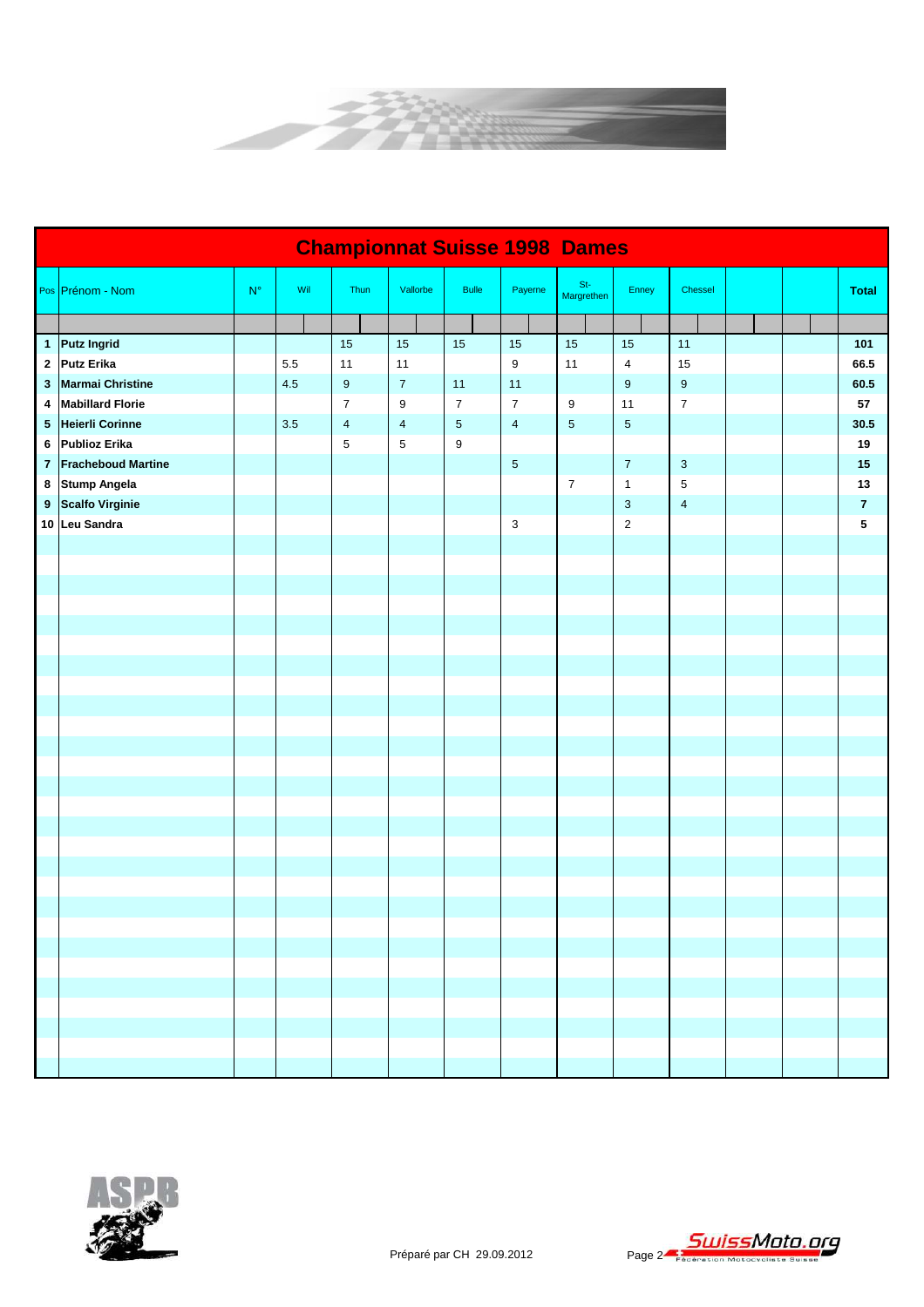

|                | <b>Championnat Suisse 1998 Dames</b> |                    |     |                         |                  |                  |                           |                     |                           |                         |  |  |                |  |
|----------------|--------------------------------------|--------------------|-----|-------------------------|------------------|------------------|---------------------------|---------------------|---------------------------|-------------------------|--|--|----------------|--|
|                | Pos Prénom - Nom                     | $\mathsf{N}^\circ$ | Wil | Thun                    | Vallorbe         | <b>Bulle</b>     | Payerne                   | $St-$<br>Margrethen | Enney                     | Chessel                 |  |  | <b>Total</b>   |  |
|                |                                      |                    |     |                         |                  |                  |                           |                     |                           |                         |  |  |                |  |
|                | 1 Putz Ingrid                        |                    |     | 15                      | 15               | 15               | 15                        | 15                  | 15                        | 11                      |  |  | 101            |  |
|                | 2 Putz Erika                         |                    | 5.5 | 11                      | 11               |                  | 9                         | 11                  | $\sqrt{4}$                | 15                      |  |  | 66.5           |  |
| 3              | <b>Marmai Christine</b>              |                    | 4.5 | $9\,$                   | $\overline{7}$   | 11               | 11                        |                     | $\boldsymbol{9}$          | $\boldsymbol{9}$        |  |  | 60.5           |  |
| 4              | <b>Mabillard Florie</b>              |                    |     | $\boldsymbol{7}$        | $\boldsymbol{9}$ | $\overline{7}$   | $\boldsymbol{7}$          | 9                   | 11                        | $\boldsymbol{7}$        |  |  | 57             |  |
|                | 5 Heierli Corinne                    |                    | 3.5 | $\overline{\mathbf{4}}$ | $\overline{4}$   | $\sqrt{5}$       | $\overline{\mathbf{4}}$   | $\sqrt{5}$          | $\sqrt{5}$                |                         |  |  | 30.5           |  |
| 6              | <b>Publioz Erika</b>                 |                    |     | $\mathbf 5$             | $\sqrt{5}$       | $\boldsymbol{9}$ |                           |                     |                           |                         |  |  | 19             |  |
| $\overline{7}$ | <b>Fracheboud Martine</b>            |                    |     |                         |                  |                  | $\sqrt{5}$                |                     | $\overline{7}$            | $\mathbf{3}$            |  |  | 15             |  |
|                | 8 Stump Angela                       |                    |     |                         |                  |                  |                           | $\boldsymbol{7}$    | $\mathbf{1}$              | 5                       |  |  | 13             |  |
|                | 9 Scalfo Virginie                    |                    |     |                         |                  |                  |                           |                     | $\ensuremath{\mathsf{3}}$ | $\overline{\mathbf{4}}$ |  |  | $\overline{7}$ |  |
|                | 10 Leu Sandra                        |                    |     |                         |                  |                  | $\ensuremath{\mathsf{3}}$ |                     | $\sqrt{2}$                |                         |  |  | 5              |  |
|                |                                      |                    |     |                         |                  |                  |                           |                     |                           |                         |  |  |                |  |
|                |                                      |                    |     |                         |                  |                  |                           |                     |                           |                         |  |  |                |  |
|                |                                      |                    |     |                         |                  |                  |                           |                     |                           |                         |  |  |                |  |
|                |                                      |                    |     |                         |                  |                  |                           |                     |                           |                         |  |  |                |  |
|                |                                      |                    |     |                         |                  |                  |                           |                     |                           |                         |  |  |                |  |
|                |                                      |                    |     |                         |                  |                  |                           |                     |                           |                         |  |  |                |  |
|                |                                      |                    |     |                         |                  |                  |                           |                     |                           |                         |  |  |                |  |
|                |                                      |                    |     |                         |                  |                  |                           |                     |                           |                         |  |  |                |  |
|                |                                      |                    |     |                         |                  |                  |                           |                     |                           |                         |  |  |                |  |
|                |                                      |                    |     |                         |                  |                  |                           |                     |                           |                         |  |  |                |  |
|                |                                      |                    |     |                         |                  |                  |                           |                     |                           |                         |  |  |                |  |
|                |                                      |                    |     |                         |                  |                  |                           |                     |                           |                         |  |  |                |  |
|                |                                      |                    |     |                         |                  |                  |                           |                     |                           |                         |  |  |                |  |
|                |                                      |                    |     |                         |                  |                  |                           |                     |                           |                         |  |  |                |  |
|                |                                      |                    |     |                         |                  |                  |                           |                     |                           |                         |  |  |                |  |
|                |                                      |                    |     |                         |                  |                  |                           |                     |                           |                         |  |  |                |  |
|                |                                      |                    |     |                         |                  |                  |                           |                     |                           |                         |  |  |                |  |
|                |                                      |                    |     |                         |                  |                  |                           |                     |                           |                         |  |  |                |  |
|                |                                      |                    |     |                         |                  |                  |                           |                     |                           |                         |  |  |                |  |
|                |                                      |                    |     |                         |                  |                  |                           |                     |                           |                         |  |  |                |  |
|                |                                      |                    |     |                         |                  |                  |                           |                     |                           |                         |  |  |                |  |
|                |                                      |                    |     |                         |                  |                  |                           |                     |                           |                         |  |  |                |  |
|                |                                      |                    |     |                         |                  |                  |                           |                     |                           |                         |  |  |                |  |
|                |                                      |                    |     |                         |                  |                  |                           |                     |                           |                         |  |  |                |  |
|                |                                      |                    |     |                         |                  |                  |                           |                     |                           |                         |  |  |                |  |
|                |                                      |                    |     |                         |                  |                  |                           |                     |                           |                         |  |  |                |  |
|                |                                      |                    |     |                         |                  |                  |                           |                     |                           |                         |  |  |                |  |

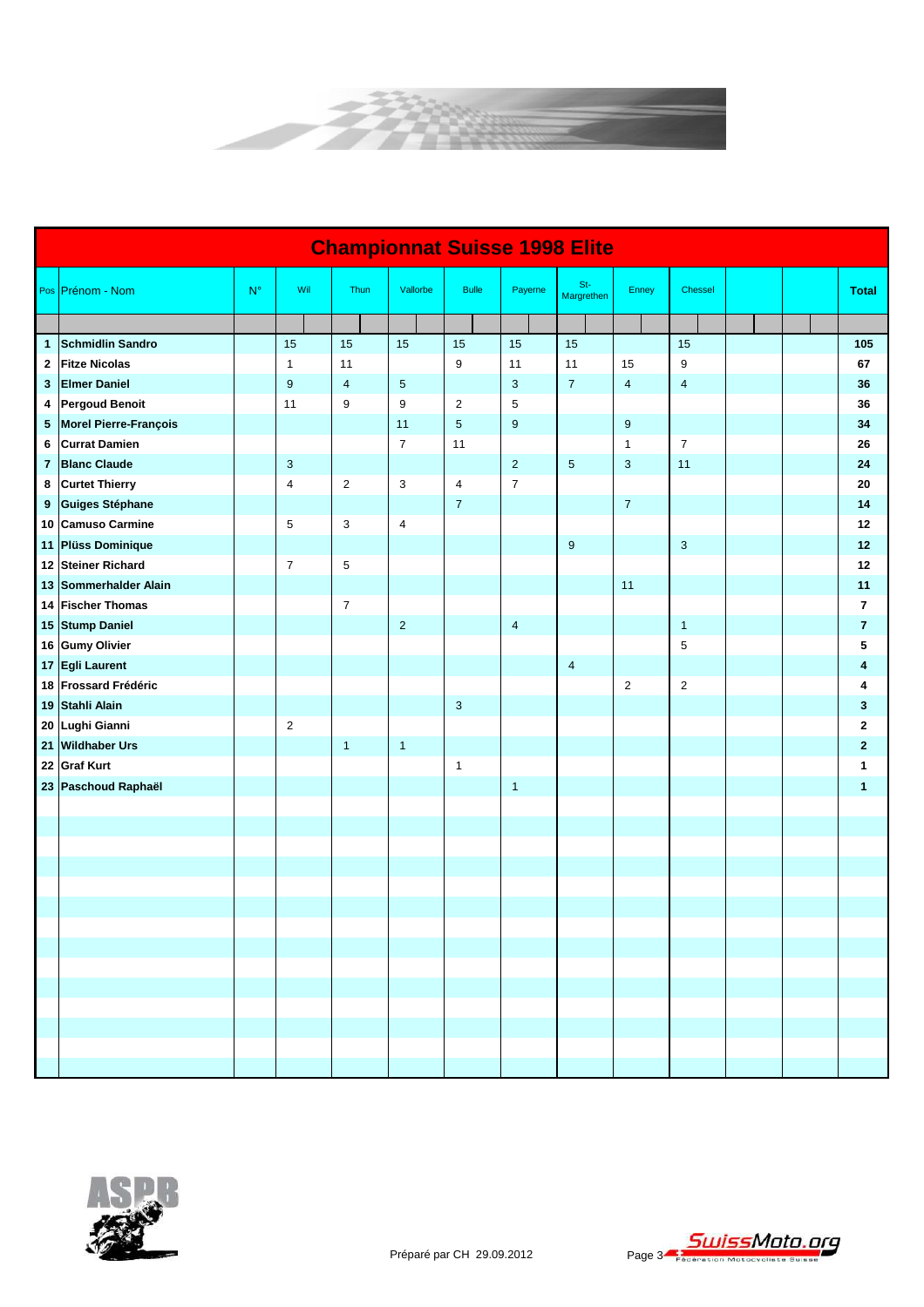

|                         | <b>Championnat Suisse 1998 Elite</b> |             |                  |  |                         |                         |                           |                |                     |                |                |  |                         |
|-------------------------|--------------------------------------|-------------|------------------|--|-------------------------|-------------------------|---------------------------|----------------|---------------------|----------------|----------------|--|-------------------------|
|                         | Pos Prénom - Nom                     | $N^{\circ}$ | Wil              |  | Thun                    | Vallorbe                | <b>Bulle</b>              | Payerne        | $St-$<br>Margrethen | Enney          | Chessel        |  | <b>Total</b>            |
|                         |                                      |             |                  |  |                         |                         |                           |                |                     |                |                |  |                         |
| 1                       | <b>Schmidlin Sandro</b>              |             | 15               |  | 15                      | 15                      | 15                        | 15             | 15                  |                | 15             |  | 105                     |
| 2                       | <b>Fitze Nicolas</b>                 |             | $\mathbf{1}$     |  | 11                      |                         | 9                         | 11             | 11                  | 15             | 9              |  | 67                      |
| 3                       | <b>Elmer Daniel</b>                  |             | $\boldsymbol{9}$ |  | $\overline{\mathbf{4}}$ | $\sqrt{5}$              |                           | $\mathbf{3}$   | $\overline{7}$      | $\overline{4}$ | $\overline{4}$ |  | 36                      |
| 4                       | <b>Pergoud Benoit</b>                |             | 11               |  | $\boldsymbol{9}$        | 9                       | $\overline{c}$            | 5              |                     |                |                |  | 36                      |
| 5                       | Morel Pierre-François                |             |                  |  |                         | 11                      | $\overline{5}$            | 9              |                     | $9\,$          |                |  | 34                      |
| 6                       | <b>Currat Damien</b>                 |             |                  |  |                         | $\overline{7}$          | 11                        |                |                     | $\mathbf{1}$   | $\overline{7}$ |  | 26                      |
| $\overline{\mathbf{r}}$ | <b>Blanc Claude</b>                  |             | $\mathbf{3}$     |  |                         |                         |                           | $\overline{2}$ | $\sqrt{5}$          | $\mathbf{3}$   | 11             |  | 24                      |
| 8                       | <b>Curtet Thierry</b>                |             | 4                |  | $\mathbf{2}$            | 3                       | $\overline{\mathbf{4}}$   | $\overline{7}$ |                     |                |                |  | 20                      |
| 9                       | <b>Guiges Stéphane</b>               |             |                  |  |                         |                         | $\boldsymbol{7}$          |                |                     | $\overline{7}$ |                |  | 14                      |
|                         | 10 Camuso Carmine                    |             | 5                |  | $\mathbf{3}$            | $\overline{\mathbf{4}}$ |                           |                |                     |                |                |  | 12                      |
|                         | 11 Plüss Dominique                   |             |                  |  |                         |                         |                           |                | $\boldsymbol{9}$    |                | $\mathbf{3}$   |  | 12                      |
|                         | 12 Steiner Richard                   |             | $\overline{7}$   |  | $\mathbf 5$             |                         |                           |                |                     |                |                |  | 12                      |
|                         | 13 Sommerhalder Alain                |             |                  |  |                         |                         |                           |                |                     | 11             |                |  | 11                      |
|                         | 14 Fischer Thomas                    |             |                  |  | $\boldsymbol{7}$        |                         |                           |                |                     |                |                |  | $\overline{\mathbf{r}}$ |
|                         | 15 Stump Daniel                      |             |                  |  |                         | $\overline{2}$          |                           | 4              |                     |                | $\mathbf{1}$   |  | $\overline{\mathbf{r}}$ |
|                         | 16 Gumy Olivier                      |             |                  |  |                         |                         |                           |                |                     |                | 5              |  | 5                       |
|                         | 17 Egli Laurent                      |             |                  |  |                         |                         |                           |                | $\overline{4}$      |                |                |  | 4                       |
|                         | 18 Frossard Frédéric                 |             |                  |  |                         |                         |                           |                |                     | $\overline{2}$ | $\overline{c}$ |  | Δ                       |
| 19                      | Stahli Alain                         |             |                  |  |                         |                         | $\ensuremath{\mathsf{3}}$ |                |                     |                |                |  | 3                       |
| 20                      | Lughi Gianni                         |             | $\overline{c}$   |  |                         |                         |                           |                |                     |                |                |  | 2                       |
| 21 <sub>1</sub>         | <b>Wildhaber Urs</b>                 |             |                  |  | $\mathbf{1}$            | $\mathbf{1}$            |                           |                |                     |                |                |  | $\mathbf{2}$            |
| 22                      | <b>Graf Kurt</b>                     |             |                  |  |                         |                         | $\mathbf{1}$              |                |                     |                |                |  | 1                       |
|                         | 23 Paschoud Raphaël                  |             |                  |  |                         |                         |                           | $\mathbf{1}$   |                     |                |                |  | 1                       |
|                         |                                      |             |                  |  |                         |                         |                           |                |                     |                |                |  |                         |
|                         |                                      |             |                  |  |                         |                         |                           |                |                     |                |                |  |                         |
|                         |                                      |             |                  |  |                         |                         |                           |                |                     |                |                |  |                         |
|                         |                                      |             |                  |  |                         |                         |                           |                |                     |                |                |  |                         |
|                         |                                      |             |                  |  |                         |                         |                           |                |                     |                |                |  |                         |
|                         |                                      |             |                  |  |                         |                         |                           |                |                     |                |                |  |                         |
|                         |                                      |             |                  |  |                         |                         |                           |                |                     |                |                |  |                         |
|                         |                                      |             |                  |  |                         |                         |                           |                |                     |                |                |  |                         |
|                         |                                      |             |                  |  |                         |                         |                           |                |                     |                |                |  |                         |
|                         |                                      |             |                  |  |                         |                         |                           |                |                     |                |                |  |                         |
|                         |                                      |             |                  |  |                         |                         |                           |                |                     |                |                |  |                         |
|                         |                                      |             |                  |  |                         |                         |                           |                |                     |                |                |  |                         |
|                         |                                      |             |                  |  |                         |                         |                           |                |                     |                |                |  |                         |
|                         |                                      |             |                  |  |                         |                         |                           |                |                     |                |                |  |                         |

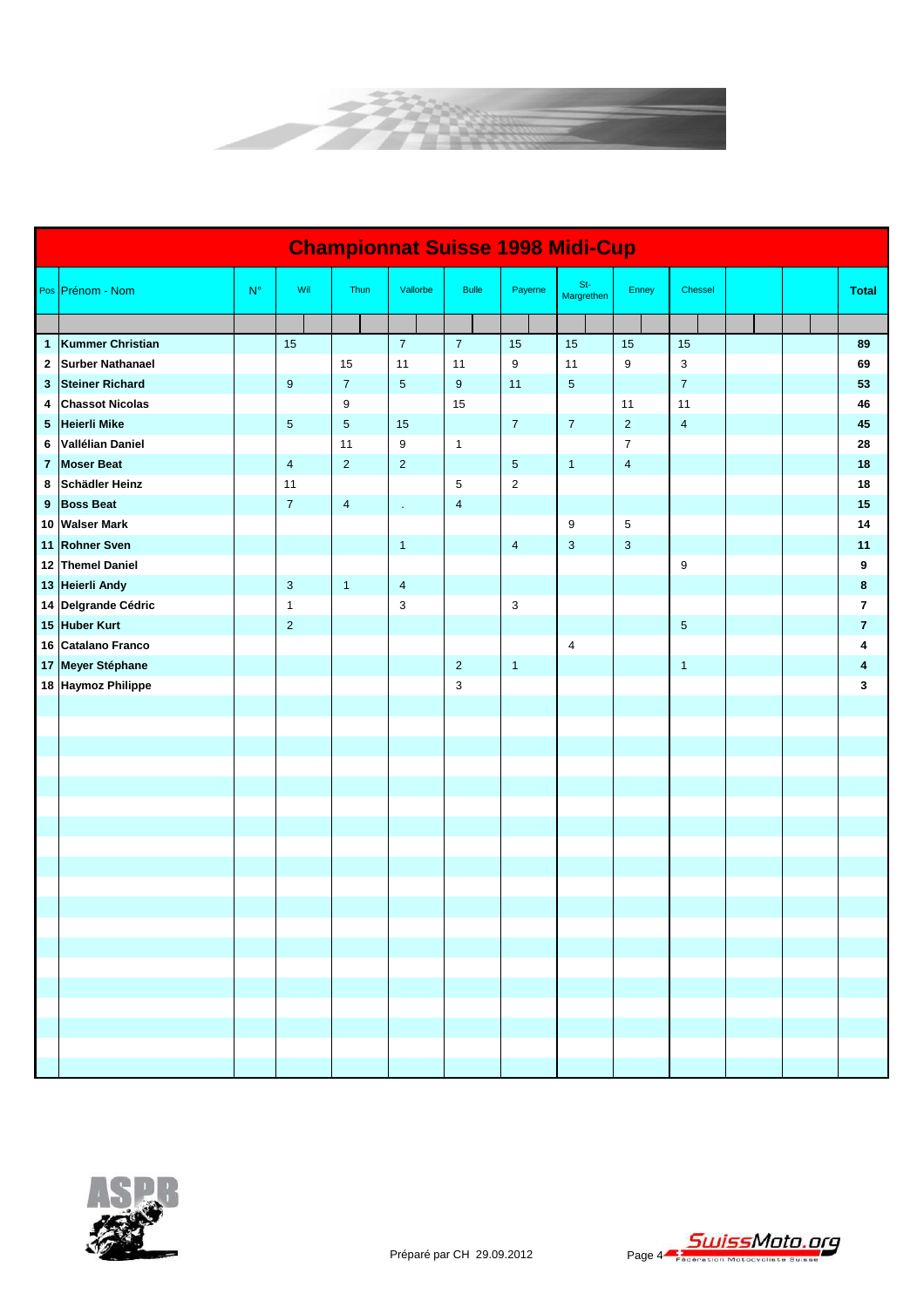

|                         | <b>Championnat Suisse 1998 Midi-Cup</b> |             |                         |                         |                         |                         |                         |                     |                  |                |  |  |                         |
|-------------------------|-----------------------------------------|-------------|-------------------------|-------------------------|-------------------------|-------------------------|-------------------------|---------------------|------------------|----------------|--|--|-------------------------|
|                         | Pos Prénom - Nom                        | $N^{\circ}$ | Wil                     | Thun                    | Vallorbe                | <b>Bulle</b>            | Payerne                 | $St-$<br>Margrethen | Enney            | Chessel        |  |  | <b>Total</b>            |
|                         |                                         |             |                         |                         |                         |                         |                         |                     |                  |                |  |  |                         |
| 1                       | Kummer Christian                        |             | 15                      |                         | $\overline{7}$          | $\overline{7}$          | 15                      | 15                  | 15               | 15             |  |  | 89                      |
| 2                       | <b>Surber Nathanael</b>                 |             |                         | 15                      | 11                      | 11                      | 9                       | 11                  | $\boldsymbol{9}$ | $\mathsf 3$    |  |  | 69                      |
| 3                       | <b>Steiner Richard</b>                  |             | $\boldsymbol{9}$        | $\overline{7}$          | $\sqrt{5}$              | $\boldsymbol{9}$        | 11                      | $\sqrt{5}$          |                  | $\overline{7}$ |  |  | 53                      |
| 4                       | <b>Chassot Nicolas</b>                  |             |                         | 9                       |                         | 15                      |                         |                     | 11               | 11             |  |  | 46                      |
| 5                       | <b>Heierli Mike</b>                     |             | $\overline{5}$          | $\overline{5}$          | 15                      |                         | $\overline{7}$          | $\overline{7}$      | $\overline{2}$   | $\overline{4}$ |  |  | 45                      |
| 6                       | Vallélian Daniel                        |             |                         | 11                      | 9                       | $\mathbf{1}$            |                         |                     | $\overline{7}$   |                |  |  | 28                      |
| $\overline{\mathbf{r}}$ | <b>Moser Beat</b>                       |             | $\overline{\mathbf{4}}$ | $\overline{2}$          | $\overline{2}$          |                         | 5                       | $\mathbf{1}$        | $\overline{4}$   |                |  |  | 18                      |
| 8                       | Schädler Heinz                          |             | 11                      |                         |                         | 5                       | $\overline{c}$          |                     |                  |                |  |  | 18                      |
| 9                       | <b>Boss Beat</b>                        |             | $\overline{7}$          | $\overline{\mathbf{4}}$ | $\epsilon$              | $\overline{\mathbf{4}}$ |                         |                     |                  |                |  |  | 15                      |
|                         | 10 Walser Mark                          |             |                         |                         |                         |                         |                         | $\boldsymbol{9}$    | $\,$ 5 $\,$      |                |  |  | 14                      |
|                         | 11 Rohner Sven                          |             |                         |                         | $\mathbf{1}$            |                         | $\overline{\mathbf{4}}$ | $\mathbf{3}$        | $\mathbf{3}$     |                |  |  | 11                      |
|                         | 12 Themel Daniel                        |             |                         |                         |                         |                         |                         |                     |                  | 9              |  |  | 9                       |
|                         | 13 Heierli Andy                         |             | 3                       | $\mathbf{1}$            | $\overline{\mathbf{4}}$ |                         |                         |                     |                  |                |  |  | 8                       |
|                         | 14 Delgrande Cédric                     |             | $\mathbf{1}$            |                         | 3                       |                         | 3                       |                     |                  |                |  |  | 7                       |
|                         | 15 Huber Kurt                           |             | $\overline{2}$          |                         |                         |                         |                         |                     |                  | 5 <sup>5</sup> |  |  | $\overline{\mathbf{r}}$ |
|                         | 16 Catalano Franco                      |             |                         |                         |                         |                         |                         | $\sqrt{4}$          |                  |                |  |  | 4                       |
|                         | 17 Meyer Stéphane                       |             |                         |                         |                         | $\overline{2}$          | $\mathbf{1}$            |                     |                  | $\mathbf{1}$   |  |  | 4                       |
|                         | 18 Haymoz Philippe                      |             |                         |                         |                         | 3                       |                         |                     |                  |                |  |  | 3                       |
|                         |                                         |             |                         |                         |                         |                         |                         |                     |                  |                |  |  |                         |
|                         |                                         |             |                         |                         |                         |                         |                         |                     |                  |                |  |  |                         |
|                         |                                         |             |                         |                         |                         |                         |                         |                     |                  |                |  |  |                         |
|                         |                                         |             |                         |                         |                         |                         |                         |                     |                  |                |  |  |                         |
|                         |                                         |             |                         |                         |                         |                         |                         |                     |                  |                |  |  |                         |
|                         |                                         |             |                         |                         |                         |                         |                         |                     |                  |                |  |  |                         |
|                         |                                         |             |                         |                         |                         |                         |                         |                     |                  |                |  |  |                         |
|                         |                                         |             |                         |                         |                         |                         |                         |                     |                  |                |  |  |                         |
|                         |                                         |             |                         |                         |                         |                         |                         |                     |                  |                |  |  |                         |
|                         |                                         |             |                         |                         |                         |                         |                         |                     |                  |                |  |  |                         |
|                         |                                         |             |                         |                         |                         |                         |                         |                     |                  |                |  |  |                         |
|                         |                                         |             |                         |                         |                         |                         |                         |                     |                  |                |  |  |                         |
|                         |                                         |             |                         |                         |                         |                         |                         |                     |                  |                |  |  |                         |
|                         |                                         |             |                         |                         |                         |                         |                         |                     |                  |                |  |  |                         |
|                         |                                         |             |                         |                         |                         |                         |                         |                     |                  |                |  |  |                         |
|                         |                                         |             |                         |                         |                         |                         |                         |                     |                  |                |  |  |                         |
|                         |                                         |             |                         |                         |                         |                         |                         |                     |                  |                |  |  |                         |
|                         |                                         |             |                         |                         |                         |                         |                         |                     |                  |                |  |  |                         |
|                         |                                         |             |                         |                         |                         |                         |                         |                     |                  |                |  |  |                         |

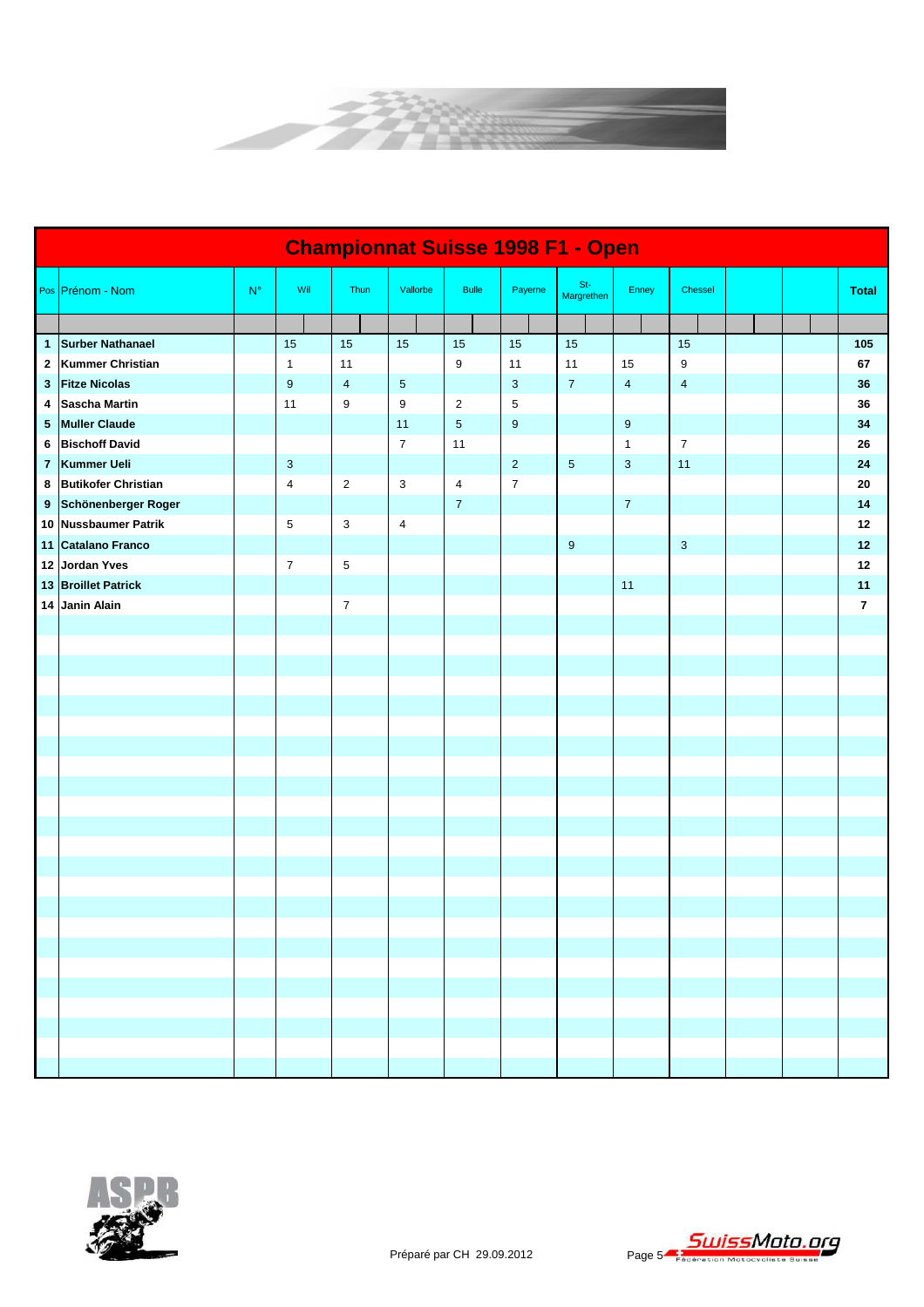

|                 | <b>Championnat Suisse 1998 F1 - Open</b> |             |                         |                  |                          |                  |                |                     |                         |                         |  |  |                |
|-----------------|------------------------------------------|-------------|-------------------------|------------------|--------------------------|------------------|----------------|---------------------|-------------------------|-------------------------|--|--|----------------|
|                 | Pos Prénom - Nom                         | $N^{\circ}$ | Wil                     | Thun             | Vallorbe                 | <b>Bulle</b>     | Payerne        | $St-$<br>Margrethen | Enney                   | Chessel                 |  |  | <b>Total</b>   |
|                 |                                          |             |                         |                  |                          |                  |                |                     |                         |                         |  |  |                |
|                 | 1 Surber Nathanael                       |             | 15                      | 15               | 15                       | 15               | 15             | 15                  |                         | 15                      |  |  | 105            |
|                 | 2 Kummer Christian                       |             | $\mathbf{1}$            | 11               |                          | $\boldsymbol{9}$ | 11             | 11                  | 15                      | 9                       |  |  | 67             |
| 3               | <b>Fitze Nicolas</b>                     |             | $\boldsymbol{9}$        | $\overline{4}$   | $\sqrt{5}$               |                  | 3              | $\overline{7}$      | $\overline{\mathbf{4}}$ | $\overline{\mathbf{4}}$ |  |  | 36             |
| 4               | <b>Sascha Martin</b>                     |             | 11                      | 9                | 9                        | $\sqrt{2}$       | 5              |                     |                         |                         |  |  | 36             |
| $5\phantom{.0}$ | <b>Muller Claude</b>                     |             |                         |                  | 11                       | $5\phantom{.0}$  | 9              |                     | $\boldsymbol{9}$        |                         |  |  | 34             |
| 6               | <b>Bischoff David</b>                    |             |                         |                  | $\overline{7}$           | 11               |                |                     | $\mathbf{1}$            | $\overline{7}$          |  |  | 26             |
| $\overline{7}$  | Kummer Ueli                              |             | 3                       |                  |                          |                  | $\overline{2}$ | $\sqrt{5}$          | 3                       | 11                      |  |  | 24             |
|                 | 8 Butikofer Christian                    |             | $\overline{\mathbf{4}}$ | $\overline{2}$   | 3                        | $\overline{4}$   | $\overline{7}$ |                     |                         |                         |  |  | 20             |
|                 | 9 Schönenberger Roger                    |             |                         |                  |                          | $\boldsymbol{7}$ |                |                     | $\bf 7$                 |                         |  |  | 14             |
|                 | 10 Nussbaumer Patrik                     |             | 5                       | 3                | $\overline{\mathcal{A}}$ |                  |                |                     |                         |                         |  |  | 12             |
|                 | 11 Catalano Franco                       |             |                         |                  |                          |                  |                | $9\,$               |                         | 3                       |  |  | 12             |
|                 | 12 Jordan Yves                           |             | $\overline{7}$          | 5                |                          |                  |                |                     |                         |                         |  |  | 12             |
|                 | 13 Broillet Patrick                      |             |                         |                  |                          |                  |                |                     | 11                      |                         |  |  | 11             |
|                 | 14 Janin Alain                           |             |                         | $\boldsymbol{7}$ |                          |                  |                |                     |                         |                         |  |  | $\overline{7}$ |
|                 |                                          |             |                         |                  |                          |                  |                |                     |                         |                         |  |  |                |
|                 |                                          |             |                         |                  |                          |                  |                |                     |                         |                         |  |  |                |
|                 |                                          |             |                         |                  |                          |                  |                |                     |                         |                         |  |  |                |
|                 |                                          |             |                         |                  |                          |                  |                |                     |                         |                         |  |  |                |
|                 |                                          |             |                         |                  |                          |                  |                |                     |                         |                         |  |  |                |
|                 |                                          |             |                         |                  |                          |                  |                |                     |                         |                         |  |  |                |
|                 |                                          |             |                         |                  |                          |                  |                |                     |                         |                         |  |  |                |
|                 |                                          |             |                         |                  |                          |                  |                |                     |                         |                         |  |  |                |
|                 |                                          |             |                         |                  |                          |                  |                |                     |                         |                         |  |  |                |
|                 |                                          |             |                         |                  |                          |                  |                |                     |                         |                         |  |  |                |
|                 |                                          |             |                         |                  |                          |                  |                |                     |                         |                         |  |  |                |
|                 |                                          |             |                         |                  |                          |                  |                |                     |                         |                         |  |  |                |
|                 |                                          |             |                         |                  |                          |                  |                |                     |                         |                         |  |  |                |
|                 |                                          |             |                         |                  |                          |                  |                |                     |                         |                         |  |  |                |
|                 |                                          |             |                         |                  |                          |                  |                |                     |                         |                         |  |  |                |
|                 |                                          |             |                         |                  |                          |                  |                |                     |                         |                         |  |  |                |
|                 |                                          |             |                         |                  |                          |                  |                |                     |                         |                         |  |  |                |
|                 |                                          |             |                         |                  |                          |                  |                |                     |                         |                         |  |  |                |
|                 |                                          |             |                         |                  |                          |                  |                |                     |                         |                         |  |  |                |
|                 |                                          |             |                         |                  |                          |                  |                |                     |                         |                         |  |  |                |
|                 |                                          |             |                         |                  |                          |                  |                |                     |                         |                         |  |  |                |
|                 |                                          |             |                         |                  |                          |                  |                |                     |                         |                         |  |  |                |